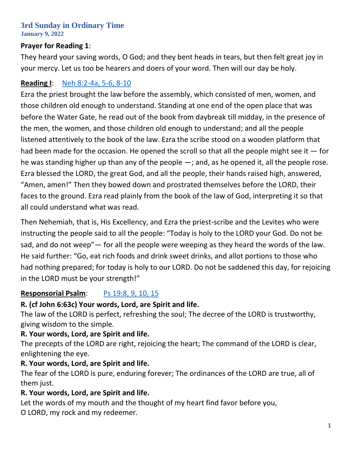#### **3rd Sunday in Ordinary Time January 9, 2022**

#### **Prayer for Reading 1**:

They heard your saving words, O God; and they bent heads in tears, but then felt great joy in your mercy. Let us too be hearers and doers of your word. Then will our day be holy.

## **Reading I**: [Neh 8:2-4a, 5-6, 8-10](https://bible.usccb.org/bible/nehemiah/8?2)

Ezra the priest brought the law before the assembly, which consisted of men, women, and those children old enough to understand. Standing at one end of the open place that was before the Water Gate, he read out of the book from daybreak till midday, in the presence of the men, the women, and those children old enough to understand; and all the people listened attentively to the book of the law. Ezra the scribe stood on a wooden platform that had been made for the occasion. He opened the scroll so that all the people might see it  $-$  for he was standing higher up than any of the people —; and, as he opened it, all the people rose. Ezra blessed the LORD, the great God, and all the people, their hands raised high, answered, "Amen, amen!" Then they bowed down and prostrated themselves before the LORD, their faces to the ground. Ezra read plainly from the book of the law of God, interpreting it so that all could understand what was read.

Then Nehemiah, that is, His Excellency, and Ezra the priest-scribe and the Levites who were instructing the people said to all the people: "Today is holy to the LORD your God. Do not be sad, and do not weep"— for all the people were weeping as they heard the words of the law. He said further: "Go, eat rich foods and drink sweet drinks, and allot portions to those who had nothing prepared; for today is holy to our LORD. Do not be saddened this day, for rejoicing in the LORD must be your strength!"

## **Responsorial Psalm**: [Ps 19:8, 9, 10, 15](https://bible.usccb.org/bible/psalms/19?8)

## **R. (cf John 6:63c) Your words, Lord, are Spirit and life.**

The law of the LORD is perfect, refreshing the soul; The decree of the LORD is trustworthy, giving wisdom to the simple.

## **R. Your words, Lord, are Spirit and life.**

The precepts of the LORD are right, rejoicing the heart; The command of the LORD is clear, enlightening the eye.

## **R. Your words, Lord, are Spirit and life.**

The fear of the LORD is pure, enduring forever; The ordinances of the LORD are true, all of them just.

## **R. Your words, Lord, are Spirit and life.**

Let the words of my mouth and the thought of my heart find favor before you, O LORD, my rock and my redeemer.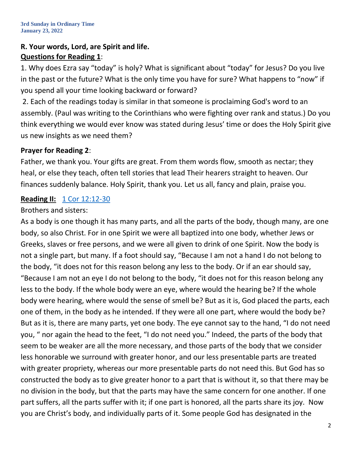# **R. Your words, Lord, are Spirit and life. Questions for Reading 1**:

1. Why does Ezra say "today" is holy? What is significant about "today" for Jesus? Do you live in the past or the future? What is the only time you have for sure? What happens to "now" if you spend all your time looking backward or forward?

2. Each of the readings today is similar in that someone is proclaiming God's word to an assembly. (Paul was writing to the Corinthians who were fighting over rank and status.) Do you think everything we would ever know was stated during Jesus' time or does the Holy Spirit give us new insights as we need them?

## **Prayer for Reading 2**:

Father, we thank you. Your gifts are great. From them words flow, smooth as nectar; they heal, or else they teach, often tell stories that lead Their hearers straight to heaven. Our finances suddenly balance. Holy Spirit, thank you. Let us all, fancy and plain, praise you.

## **Reading II:** [1 Cor 12:12-30](https://bible.usccb.org/bible/1corinthians/12?12)

## Brothers and sisters:

As a body is one though it has many parts, and all the parts of the body, though many, are one body, so also Christ. For in one Spirit we were all baptized into one body, whether Jews or Greeks, slaves or free persons, and we were all given to drink of one Spirit. Now the body is not a single part, but many. If a foot should say, "Because I am not a hand I do not belong to the body, "it does not for this reason belong any less to the body. Or if an ear should say, "Because I am not an eye I do not belong to the body, "it does not for this reason belong any less to the body. If the whole body were an eye, where would the hearing be? If the whole body were hearing, where would the sense of smell be? But as it is, God placed the parts, each one of them, in the body as he intended. If they were all one part, where would the body be? But as it is, there are many parts, yet one body. The eye cannot say to the hand, "I do not need you, " nor again the head to the feet, "I do not need you." Indeed, the parts of the body that seem to be weaker are all the more necessary, and those parts of the body that we consider less honorable we surround with greater honor, and our less presentable parts are treated with greater propriety, whereas our more presentable parts do not need this. But God has so constructed the body as to give greater honor to a part that is without it, so that there may be no division in the body, but that the parts may have the same concern for one another. If one part suffers, all the parts suffer with it; if one part is honored, all the parts share its joy. Now you are Christ's body, and individually parts of it. Some people God has designated in the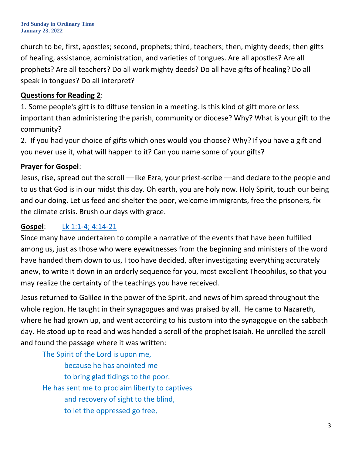church to be, first, apostles; second, prophets; third, teachers; then, mighty deeds; then gifts of healing, assistance, administration, and varieties of tongues. Are all apostles? Are all prophets? Are all teachers? Do all work mighty deeds? Do all have gifts of healing? Do all speak in tongues? Do all interpret?

# **Questions for Reading 2**:

1. Some people's gift is to diffuse tension in a meeting. Is this kind of gift more or less important than administering the parish, community or diocese? Why? What is your gift to the community?

2. If you had your choice of gifts which ones would you choose? Why? If you have a gift and you never use it, what will happen to it? Can you name some of your gifts?

## **Prayer for Gospel**:

Jesus, rise, spread out the scroll ––like Ezra, your priest-scribe ––and declare to the people and to us that God is in our midst this day. Oh earth, you are holy now. Holy Spirit, touch our being and our doing. Let us feed and shelter the poor, welcome immigrants, free the prisoners, fix the climate crisis. Brush our days with grace.

## **Gospel**: [Lk 1:1-4; 4:14-21](https://bible.usccb.org/bible/luke/4?1)

Since many have undertaken to compile a narrative of the events that have been fulfilled among us, just as those who were eyewitnesses from the beginning and ministers of the word have handed them down to us, I too have decided, after investigating everything accurately anew, to write it down in an orderly sequence for you, most excellent Theophilus, so that you may realize the certainty of the teachings you have received.

Jesus returned to Galilee in the power of the Spirit, and news of him spread throughout the whole region. He taught in their synagogues and was praised by all. He came to Nazareth, where he had grown up, and went according to his custom into the synagogue on the sabbath day. He stood up to read and was handed a scroll of the prophet Isaiah. He unrolled the scroll and found the passage where it was written:

 The Spirit of the Lord is upon me, because he has anointed me to bring glad tidings to the poor. He has sent me to proclaim liberty to captives and recovery of sight to the blind, to let the oppressed go free,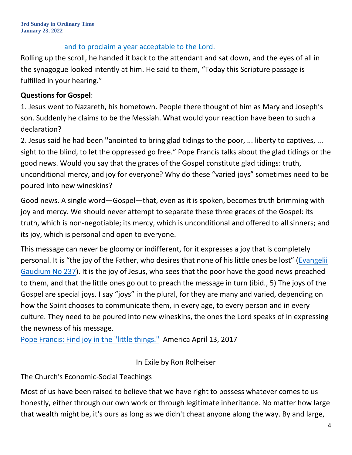#### and to proclaim a year acceptable to the Lord.

Rolling up the scroll, he handed it back to the attendant and sat down, and the eyes of all in the synagogue looked intently at him. He said to them, "Today this Scripture passage is fulfilled in your hearing."

## **Questions for Gospel**:

1. Jesus went to Nazareth, his hometown. People there thought of him as Mary and Joseph's son. Suddenly he claims to be the Messiah. What would your reaction have been to such a declaration?

2. Jesus said he had been ''anointed to bring glad tidings to the poor, ... liberty to captives, ... sight to the blind, to let the oppressed go free." Pope Francis talks about the glad tidings or the good news. Would you say that the graces of the Gospel constitute glad tidings: truth, unconditional mercy, and joy for everyone? Why do these "varied joys" sometimes need to be poured into new wineskins?

Good news. A single word—Gospel—that, even as it is spoken, becomes truth brimming with joy and mercy. We should never attempt to separate these three graces of the Gospel: its truth, which is non-negotiable; its mercy, which is unconditional and offered to all sinners; and its joy, which is personal and open to everyone.

This message can never be gloomy or indifferent, for it expresses a joy that is completely personal. It is "the joy of the Father, who desires that none of his little ones be lost" (Evangelii Gaudium No 237). It is the joy of Jesus, who sees that the poor have the good news preached to them, and that the little ones go out to preach the message in turn (ibid., 5) The joys of the Gospel are special joys. I say "joys" in the plural, for they are many and varied, depending on how the Spirit chooses to communicate them, in every age, to every person and in every culture. They need to be poured into new wineskins, the ones the Lord speaks of in expressing the newness of his message.

[Pope Francis: Find joy in the "little things."](https://www.americamagazine.org/faith/2017/04/13/pope-francis-chrism-mass-find-joy-little-things) America April 13, 2017

In Exile by Ron Rolheiser

The Church's Economic-Social Teachings

Most of us have been raised to believe that we have right to possess whatever comes to us honestly, either through our own work or through legitimate inheritance. No matter how large that wealth might be, it's ours as long as we didn't cheat anyone along the way. By and large,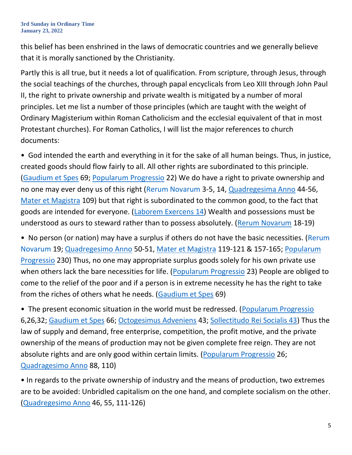#### **3rd Sunday in Ordinary Time January 23, 2022**

this belief has been enshrined in the laws of democratic countries and we generally believe that it is morally sanctioned by the Christianity.

Partly this is all true, but it needs a lot of qualification. From scripture, through Jesus, through the social teachings of the churches, through papal encyclicals from Leo XIII through John Paul II, the right to private ownership and private wealth is mitigated by a number of moral principles. Let me list a number of those principles (which are taught with the weight of Ordinary Magisterium within Roman Catholicism and the ecclesial equivalent of that in most Protestant churches). For Roman Catholics, I will list the major references to church documents:

• God intended the earth and everything in it for the sake of all human beings. Thus, in justice, created goods should flow fairly to all. All other rights are subordinated to this principle. [\(Gaudium et Spes](http://www.vatican.va/archive/hist_councils/ii_vatican_council/documents/vat-ii_const_19651207_gaudium-et-spes_en.html) 69; Popularum Progressio 22) We do have a right to private ownership and no one may ever deny us of this right (Rerum Novarum 3-5, 14, Quadregesima Anno 44-56, [Mater et Magistra](http://w2.vatican.va/content/john-xxiii/en/encyclicals/documents/hf_j-xxiii_enc_15051961_mater.html) 109) but that right is subordinated to the common good, to the fact that goods are intended for everyone. (Laborem Exercens 14) Wealth and possessions must be understood as ours to steward rather than to possess absolutely. [\(Rerum Novarum](http://w2.vatican.va/content/leo-xiii/en/encyclicals/documents/hf_l-xiii_enc_15051891_rerum-novarum.html) 18-19)

• No person (or nation) may have a surplus if others do not have the basic necessities. (Rerum Novarum 19; Quadregesimo Anno 50-51, [Mater et Magistra](http://w2.vatican.va/content/john-xxiii/en/encyclicals/documents/hf_j-xxiii_enc_15051961_mater.html) 119-121 & 157-165; Popularum Progressio 230) Thus, no one may appropriate surplus goods solely for his own private use when others lack the bare necessities for life. (Popularum Progressio 23) People are obliged to come to the relief of the poor and if a person is in extreme necessity he has the right to take from the riches of others what he needs. [\(Gaudium et Spes](http://www.vatican.va/archive/hist_councils/ii_vatican_council/documents/vat-ii_const_19651207_gaudium-et-spes_en.html) 69)

• The present economic situation in the world must be redressed. (Popularum Progressio 6,26,32; [Gaudium et Spes](http://www.vatican.va/archive/hist_councils/ii_vatican_council/documents/vat-ii_const_19651207_gaudium-et-spes_en.html) 66; Octogesimus Adveniens 43; Sollectitudo Rei Socialis 43) Thus the law of supply and demand, free enterprise, competition, the profit motive, and the private ownership of the means of production may not be given complete free reign. They are not absolute rights and are only good within certain limits. (Popularum Progressio 26; Quadragesimo Anno 88, 110)

• In regards to the private ownership of industry and the means of production, two extremes are to be avoided: Unbridled capitalism on the one hand, and complete socialism on the other. (Quadregesimo Anno 46, 55, 111-126)